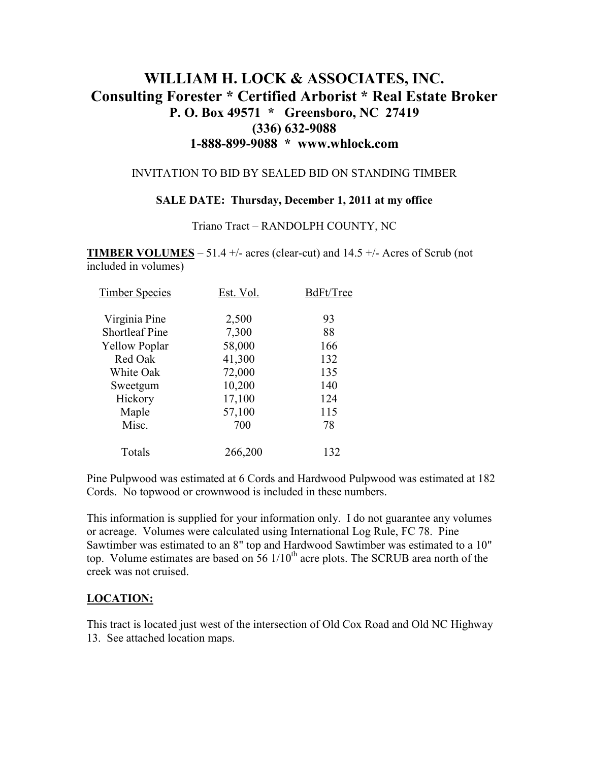# **WILLIAM H. LOCK & ASSOCIATES, INC. Consulting Forester \* Certified Arborist \* Real Estate Broker P. O. Box 49571 \* Greensboro, NC 27419 (336) 632-9088 1-888-899-9088 \* www.whlock.com**

### INVITATION TO BID BY SEALED BID ON STANDING TIMBER

### **SALE DATE: Thursday, December 1, 2011 at my office**

#### Triano Tract – RANDOLPH COUNTY, NC

**TIMBER VOLUMES** – 51.4 +/- acres (clear-cut) and 14.5 +/- Acres of Scrub (not included in volumes)

| <b>Timber Species</b> | Est. Vol. | BdFt/Tree |
|-----------------------|-----------|-----------|
| Virginia Pine         | 2,500     | 93        |
| <b>Shortleaf Pine</b> | 7,300     | 88        |
| <b>Yellow Poplar</b>  | 58,000    | 166       |
| Red Oak               | 41,300    | 132       |
| White Oak             | 72,000    | 135       |
| Sweetgum              | 10,200    | 140       |
| Hickory               | 17,100    | 124       |
| Maple                 | 57,100    | 115       |
| Misc.                 | 700       | 78        |
| Totals                | 266,200   | 132       |

Pine Pulpwood was estimated at 6 Cords and Hardwood Pulpwood was estimated at 182 Cords. No topwood or crownwood is included in these numbers.

This information is supplied for your information only. I do not guarantee any volumes or acreage. Volumes were calculated using International Log Rule, FC 78. Pine Sawtimber was estimated to an 8" top and Hardwood Sawtimber was estimated to a 10" top. Volume estimates are based on 56 1/10<sup>th</sup> acre plots. The SCRUB area north of the creek was not cruised.

### **LOCATION:**

This tract is located just west of the intersection of Old Cox Road and Old NC Highway 13. See attached location maps.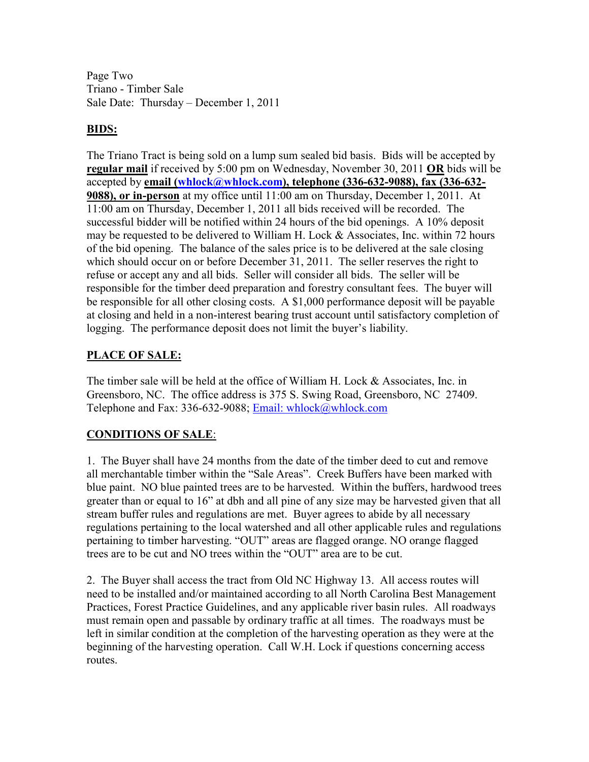Page Two Triano - Timber Sale Sale Date: Thursday – December 1, 2011

## **BIDS:**

The Triano Tract is being sold on a lump sum sealed bid basis. Bids will be accepted by **regular mail** if received by 5:00 pm on Wednesday, November 30, 2011 **OR** bids will be accepted by **email (whlock@whlock.com), telephone (336-632-9088), fax (336-632- 9088), or in-person** at my office until 11:00 am on Thursday, December 1, 2011. At 11:00 am on Thursday, December 1, 2011 all bids received will be recorded. The successful bidder will be notified within 24 hours of the bid openings. A 10% deposit may be requested to be delivered to William H. Lock & Associates, Inc. within 72 hours of the bid opening. The balance of the sales price is to be delivered at the sale closing which should occur on or before December 31, 2011. The seller reserves the right to refuse or accept any and all bids. Seller will consider all bids. The seller will be responsible for the timber deed preparation and forestry consultant fees. The buyer will be responsible for all other closing costs. A \$1,000 performance deposit will be payable at closing and held in a non-interest bearing trust account until satisfactory completion of logging. The performance deposit does not limit the buyer's liability.

## **PLACE OF SALE:**

The timber sale will be held at the office of William H. Lock & Associates, Inc. in Greensboro, NC. The office address is 375 S. Swing Road, Greensboro, NC 27409. Telephone and Fax: 336-632-9088; Email: whlock@whlock.com

## **CONDITIONS OF SALE**:

1. The Buyer shall have 24 months from the date of the timber deed to cut and remove all merchantable timber within the "Sale Areas". Creek Buffers have been marked with blue paint. NO blue painted trees are to be harvested. Within the buffers, hardwood trees greater than or equal to 16" at dbh and all pine of any size may be harvested given that all stream buffer rules and regulations are met. Buyer agrees to abide by all necessary regulations pertaining to the local watershed and all other applicable rules and regulations pertaining to timber harvesting. "OUT" areas are flagged orange. NO orange flagged trees are to be cut and NO trees within the "OUT" area are to be cut.

2. The Buyer shall access the tract from Old NC Highway 13. All access routes will need to be installed and/or maintained according to all North Carolina Best Management Practices, Forest Practice Guidelines, and any applicable river basin rules. All roadways must remain open and passable by ordinary traffic at all times. The roadways must be left in similar condition at the completion of the harvesting operation as they were at the beginning of the harvesting operation. Call W.H. Lock if questions concerning access routes.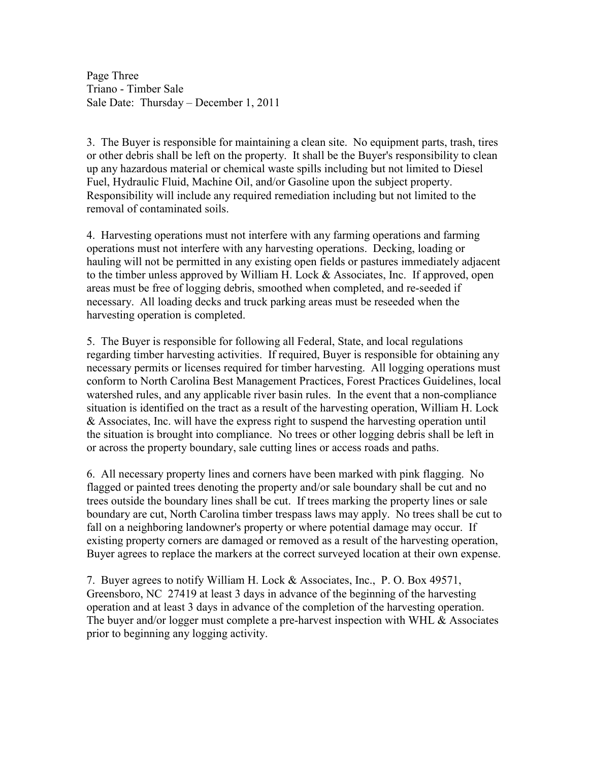Page Three Triano - Timber Sale Sale Date: Thursday – December 1, 2011

3. The Buyer is responsible for maintaining a clean site. No equipment parts, trash, tires or other debris shall be left on the property. It shall be the Buyer's responsibility to clean up any hazardous material or chemical waste spills including but not limited to Diesel Fuel, Hydraulic Fluid, Machine Oil, and/or Gasoline upon the subject property. Responsibility will include any required remediation including but not limited to the removal of contaminated soils.

4. Harvesting operations must not interfere with any farming operations and farming operations must not interfere with any harvesting operations. Decking, loading or hauling will not be permitted in any existing open fields or pastures immediately adjacent to the timber unless approved by William H. Lock & Associates, Inc. If approved, open areas must be free of logging debris, smoothed when completed, and re-seeded if necessary. All loading decks and truck parking areas must be reseeded when the harvesting operation is completed.

5. The Buyer is responsible for following all Federal, State, and local regulations regarding timber harvesting activities. If required, Buyer is responsible for obtaining any necessary permits or licenses required for timber harvesting. All logging operations must conform to North Carolina Best Management Practices, Forest Practices Guidelines, local watershed rules, and any applicable river basin rules. In the event that a non-compliance situation is identified on the tract as a result of the harvesting operation, William H. Lock & Associates, Inc. will have the express right to suspend the harvesting operation until the situation is brought into compliance. No trees or other logging debris shall be left in or across the property boundary, sale cutting lines or access roads and paths.

6. All necessary property lines and corners have been marked with pink flagging. No flagged or painted trees denoting the property and/or sale boundary shall be cut and no trees outside the boundary lines shall be cut. If trees marking the property lines or sale boundary are cut, North Carolina timber trespass laws may apply. No trees shall be cut to fall on a neighboring landowner's property or where potential damage may occur. If existing property corners are damaged or removed as a result of the harvesting operation, Buyer agrees to replace the markers at the correct surveyed location at their own expense.

7. Buyer agrees to notify William H. Lock & Associates, Inc., P. O. Box 49571, Greensboro, NC 27419 at least 3 days in advance of the beginning of the harvesting operation and at least 3 days in advance of the completion of the harvesting operation. The buyer and/or logger must complete a pre-harvest inspection with WHL & Associates prior to beginning any logging activity.